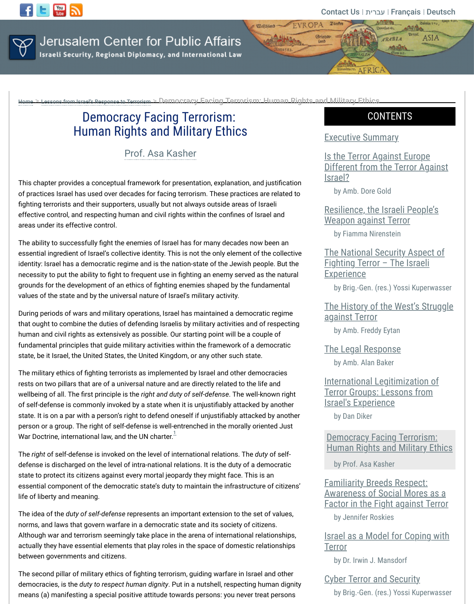The ability to successfully fight the enemies of Israel has for many decades now been [essen](https://www.facebook.com/jerusalemcenter)[tial in](http://twitter.com/#!/jerusalemcenter)[gredi](http://www.youtube.com/user/TheJerusalemCenter)[ent of](http://jcpa.org/feed/rss/) Israel's collective identity. This is not the only element of the col identity: Israel has a democratic regime and is the nation-state of the Jewish people. B necessity to put the ability to fight to frequent use in fighting an enemy served as the n grounds for the development of an ethics of fighting enemies shaped by the fundamen values of the state and by the universal nature of Israel's military activity.

During periods of wars and military operations, Israel has maintained a democratic reg that ought to combine the duties of defending Israelis by military activities and of respection human and civil rights as extensively as possible. Our starting point will be a couple of [funda](http://jcpa.org/)mental principles that quide military activities within the framework of a democratic state, be it Israel, the United States, the United Kingdom, or any other such state.

The military ethics of fighting terrorists as implemented by Israel and other democracie rests on two pillars that are of a universal nature and are directly related to the life and wellbeing of all. The first principle is the *[right and duty of se](http://jcpa.org/researcher/asa-kasher/)lf-defense*. The well-known of self-defense is commonly invoked by a state when it is unjustifiably attacked by ano state. It is on a par with a person's right to defend oneself if unjustifiably attacked by an person or a group. The right of self-defense is well-entrenched in the morally oriented. War Doctrine, international law, and the UN charter. $^{\frac{1}{n}}$ 

The *right* of self-defense is invoked on the level of international relations. The *duty* of s defense is discharged on the level of intra-national relations. It is the duty of a democratic state to protect its citizens against every mortal jeopardy they might face. This is an essential component of the democratic state's duty to maintain the infrastructure of cit life of liberty and meaning.

The idea of the *duty of self-defense* represents an important extension to the set of val norms, and laws that govern warfare in a democratic state and its society of citizens. Although war and terrorism seemingly take place in the arena of international relations actually they have essential elements that play roles in the space of domestic relations between governments and citizens.

The second pillar of military ethics of fighting terrorism, guiding warfare in Israel and o democracies, is the *duty to respect human dignity*. Put in a nutshell, respecting human means (a) manifesting a special positive attitude towards persons: you never treat persons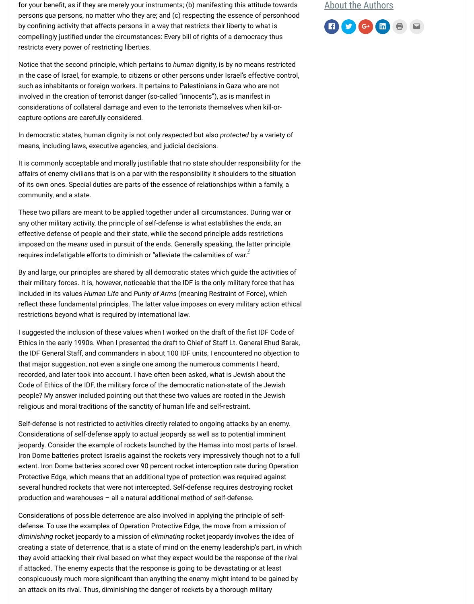imposed on the *means* used in pursuit of the ends. Generally speaking, the latter princi requires indefatigable efforts to diminish or "alleviate the calamities of war. $^{\text{2}}$ 

By and large, our principles are shared by all democratic states which guide the activiti their military forces. It is, however, noticeable that the IDF is the only military force that included in its values *Human Life* and *Purity of Arms* (meaning Restraint of Force), which reflect these fundamental principles. The latter value imposes on every military action restrictions beyond what is required by international law.

I suggested the inclusion of these values when I worked on the draft of the fist IDF Code Ethics in the early 1990s. When I presented the draft to Chief of Staff Lt. General Ehud the IDF General Staff, and commanders in about 100 IDF units, I encountered no object that major suggestion, not even a single one among the numerous comments I heard, recorded, and later took into account. I have often been asked, what is Jewish about th Code of Ethics of the IDF, the military force of the democratic nation-state of the Jewish people? My answer included pointing out that these two values are rooted in the Jewish religious and moral traditions of the sanctity of human life and self-restraint.

Self-defense is not restricted to activities directly related to ongoing attacks by an ener Considerations of self-defense apply to actual jeopardy as well as to potential imminer jeopardy. Consider the example of rockets launched by the Hamas into most parts of Is Iron Dome batteries protect Israelis against the rockets very impressively though not to extent. Iron Dome batteries scored over 90 percent rocket interception rate during Ope Protective Edge, which means that an additional type of protection was required against [s](http://jcpa.org/lessons-israels-response-terrorism/democracy-facing-terrorism-human-rights-military-ethics/#_edn2)everal hundred rockets that were not intercepted. Self-defense requires destroying roo production and warehouses – all a natural additional method of self-defense.

Considerations of possible deterrence are also involved in applying the principle of selfdefense. To use the examples of Operation Protective Edge, the move from a mission of *diminishing* rocket jeopardy to a mission of *eliminating* rocket jeopardy involves the ide creating a state of deterrence, that is a state of mind on the enemy leadership's part, in they avoid attacking their rival based on what they expect would be the response of the if attacked. The enemy expects that the response is going to be devastating or at least conspicuously much more significant than anything the enemy might intend to be gain an attack on its rival. Thus, diminishing the danger of rockets by a thorough military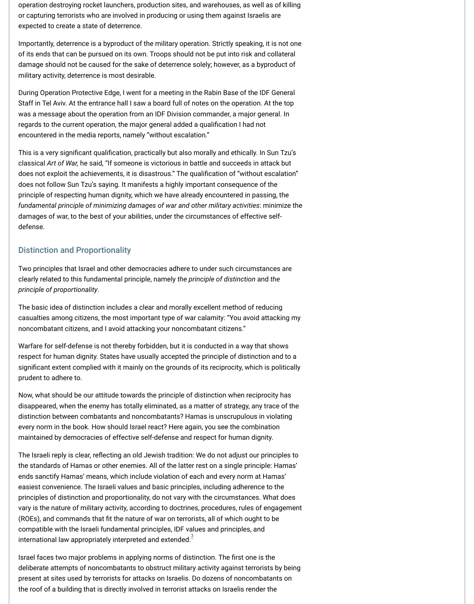## Distinction and Proportionality

Two principles that Israel and other democracies adhere to under such circumstances clearly related to this fundamental principle, namely *the principle of distinction* and *the principle of proportionality*.

The basic idea of distinction includes a clear and morally excellent method of reducing casualties among citizens, the most important type of war calamity: "You avoid attacki noncombatant citizens, and I avoid attacking your noncombatant citizens."

Warfare for self-defense is not thereby forbidden, but it is conducted in a way that show respect for human dignity. States have usually accepted the principle of distinction and significant extent complied with it mainly on the grounds of its reciprocity, which is pol prudent to adhere to.

Now, what should be our attitude towards the principle of distinction when reciprocity l disappeared, when the enemy has totally eliminated, as a matter of strategy, any trace distinction between combatants and noncombatants? Hamas is unscrupulous in violating every norm in the book. How should Israel react? Here again, you see the combination maintained by democracies of effective self-defense and respect for human dignity.

The Israeli reply is clear, reflecting an old Jewish tradition: We do not adjust our princip the standards of Hamas or other enemies. All of the latter rest on a single principle: Hamas' ends sanctify Hamas' means, which include violation of each and every norm at Hama easiest convenience. The Israeli values and basic principles, including adherence to the principles of distinction and proportionality, do not vary with the circumstances. What vary is the nature of military activity, according to doctrines, procedures, rules of engage (ROEs), and commands that fit the nature of war on terrorists, all of which ought to be compatible with the Israeli fundamental principles, IDF values and principles, and international law appropriately interpreted and extended.<sup>3</sup>

Israel faces two major problems in applying norms of distinction. The first one is the deliberate attempts of noncombatants to obstruct military activity against terrorists by present at sites used by terrorists for attacks on Israelis. Do dozens of noncombatants the roof of a building that is directly involved in terrorist attacks on Israelis render the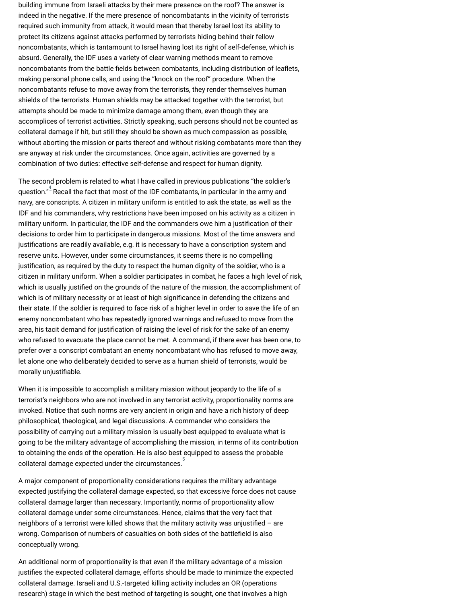justifications are readily available, e.g. it is necessary to have a conscription system an reserve units. However, under some circumstances, it seems there is no compelling justification, as required by the duty to respect the human dignity of the soldier, who is citizen in military uniform. When a soldier participates in combat, he faces a high level which is usually justified on the grounds of the nature of the mission, the accomplishm which is of military necessity or at least of high significance in defending the citizens a their state. If the soldier is required to face risk of a higher level in order to save the life enemy noncombatant who has repeatedly ignored warnings and refused to move from area, his tacit demand for justification of raising the level of risk for the sake of an ener who refused to evacuate the place cannot be met. A command, if there ever has been prefer over a conscript combatant an enemy noncombatant who has refused to move let alone one who deliberately decided to serve as a human shield of terrorists, would b morally unjustifiable.

When it is impossible to accomplish a military mission without jeopardy to the life of a terrorist's neighbors who are not involved in any terrorist activity, proportionality norms invoked. Notice that such norms are very ancient in origin and have a rich history of de philosophical, theological, and legal discussions. A commander who considers the possibilit[y o](http://jcpa.org/lessons-israels-response-terrorism/democracy-facing-terrorism-human-rights-military-ethics/#_edn4)f carrying out a military mission is usually best equipped to evaluate what is going to be the military advantage of accomplishing the mission, in terms of its contribution to obtaining the ends of the operation. He is also best equipped to assess the probable  $\,$  collateral damage expected under the circumstances. $^{\frac{5}{\alpha}}$ 

A major component of proportionality considerations requires the military advantage expected justifying the collateral damage expected, so that excessive force does not c collateral damage larger than necessary. Importantly, norms of proportionality allow collateral damage under some circumstances. Hence, claims that the very fact that neighbors of a terrorist were killed shows that the military activity was unjustified – are wrong. Comparison of numbers of casualties on both sides of the battlefield is also conceptually wrong.

An additional norm of proportionality is that even if the military advantage of a mission justifies the expected collateral damage, efforts should be made to minimize the exped collateral damage. Israeli and U.S.-targeted killing activity includes an OR (operations research) stage in which the best method of targeting is sought, one that involves a higher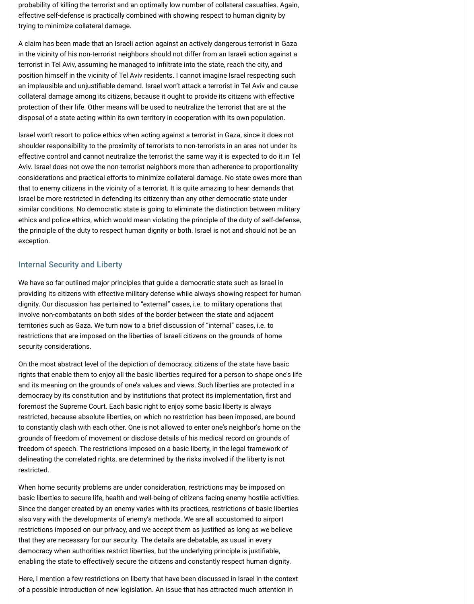probability of killing the terrorist and an optimally low number of collateral casualties. Again, effective self-defense is practically combined with showing respect to human dignity by trying to minimize collateral damage.

A claim has been made that an Israeli action against an actively dangerous terrorist in Gaza in the vicinity of his non-terrorist neighbors should not differ from an Israeli action against a terrorist in Tel Aviv, assuming he managed to infiltrate into the state, reach the city, and position himself in the vicinity of Tel Aviv residents. I cannot imagine Israel respecting such an implausible and unjustifiable demand. Israel won't attack a terrorist in Tel Aviv and cause collateral damage among its citizens, because it ought to provide its citizens with effective protection of their life. Other means will be used to neutralize the terrorist that are at the disposal of a state acting within its own territory in cooperation with its own population.

Israel won't resort to police ethics when acting against a terrorist in Gaza, since it does not shoulder responsibility to the proximity of terrorists to non-terrorists in an area not under its effective control and cannot neutralize the terrorist the same way it is expected to do it in Tel Aviv. Israel does not owe the non-terrorist neighbors more than adherence to proportionality considerations and practical efforts to minimize collateral damage. No state owes more than that to enemy citizens in the vicinity of a terrorist. It is quite amazing to hear demands that Israel be more restricted in defending its citizenry than any other democratic state under similar conditions. No democratic state is going to eliminate the distinction between military ethics and police ethics, which would mean violating the principle of the duty of self-defense, the principle of the duty to respect human dignity or both. Israel is not and should not be an exception.

## Internal Security and Liberty

We have so far outlined major principles that guide a democratic state such as Israel in providing its citizens with effective military defense while always showing respect for human dignity. Our discussion has pertained to "external" cases, i.e. to military operations that involve non-combatants on both sides of the border between the state and adjacent territories such as Gaza. We turn now to a brief discussion of "internal" cases, i.e. to restrictions that are imposed on the liberties of Israeli citizens on the grounds of home security considerations.

On the most abstract level of the depiction of democracy, citizens of the state have basic rights that enable them to enjoy all the basic liberties required for a person to shape one's life and its meaning on the grounds of one's values and views. Such liberties are protected in a democracy by its constitution and by institutions that protect its implementation, first and foremost the Supreme Court. Each basic right to enjoy some basic liberty is always

restricted, because absolute liberties, on which no restriction has been imposed, are bound to constantly clash with each other. One is not allowed to enter one's neighbor's home on the grounds of freedom of movement or disclose details of his medical record on grounds of freedom of speech. The restrictions imposed on a basic liberty, in the legal framework of delineating the correlated rights, are determined by the risks involved if the liberty is not restricted.

When home security problems are under consideration, restrictions may be imposed on basic liberties to secure life, health and well-being of citizens facing enemy hostile activities. Since the danger created by an enemy varies with its practices, restrictions of basic liberties also vary with the developments of enemy's methods. We are all accustomed to airport restrictions imposed on our privacy, and we accept them as justified as long as we believe that they are necessary for our security. The details are debatable, as usual in every democracy when authorities restrict liberties, but the underlying principle is justifiable, enabling the state to effectively secure the citizens and constantly respect human dignity.

Here, I mention a few restrictions on liberty that have been discussed in Israel in the context of a possible introduction of new legislation. An issue that has attracted much attention in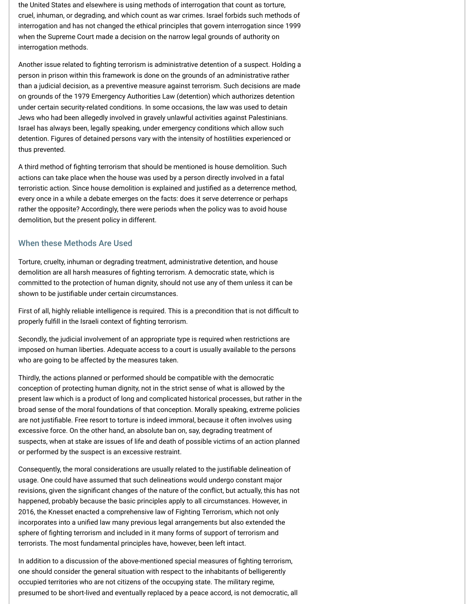the United States and elsewhere is using methods of interrogation that count as torture, cruel, inhuman, or degrading, and which count as war crimes. Israel forbids such methods of interrogation and has not changed the ethical principles that govern interrogation since 1999 when the Supreme Court made a decision on the narrow legal grounds of authority on interrogation methods.

Another issue related to fighting terrorism is administrative detention of a suspect. Holding a person in prison within this framework is done on the grounds of an administrative rather than a judicial decision, as a preventive measure against terrorism. Such decisions are made on grounds of the 1979 Emergency Authorities Law (detention) which authorizes detention under certain security-related conditions. In some occasions, the law was used to detain Jews who had been allegedly involved in gravely unlawful activities against Palestinians. Israel has always been, legally speaking, under emergency conditions which allow such detention. Figures of detained persons vary with the intensity of hostilities experienced or thus prevented.

A third method of fighting terrorism that should be mentioned is house demolition. Such actions can take place when the house was used by a person directly involved in a fatal terroristic action. Since house demolition is explained and justified as a deterrence method, every once in a while a debate emerges on the facts: does it serve deterrence or perhaps rather the opposite? Accordingly, there were periods when the policy was to avoid house demolition, but the present policy in different.

Torture, cruelty, inhuman or degrading treatment, administrative detention, and house demolition are all harsh measures of fighting terrorism. A democratic state, which is committed to the protection of human dignity, should not use any of them unless it can be shown to be justifiable under certain circumstances.

First of all, highly reliable intelligence is required. This is a precondition that is not difficult to properly fulfill in the Israeli context of fighting terrorism.

are not justifiable. Free resort to torture is indeed immoral, because it often involves using excessive force. On the other hand, an absolute ban on, say, degrading treatment of suspects, when at stake are issues of life and death of possible victims of an action planned or performed by the suspect is an excessive restraint.

## When these Methods Are Used

Consequently, the moral considerations are usually related to the justifiable delineation of usage. One could have assumed that such delineations would undergo constant major revisions, given the significant changes of the nature of the conflict, but actually, this has not happened, probably because the basic principles apply to all circumstances. However, in 2016, the Knesset enacted a comprehensive law of Fighting Terrorism, which not only incorporates into a unified law many previous legal arrangements but also extended the sphere of fighting terrorism and included in it many forms of support of terrorism and terrorists. The most fundamental principles have, however, been left intact.

In addition to a discussion of the above-mentioned special measures of fighting terrorism, one should consider the general situation with respect to the inhabitants of belligerently occupied territories who are not citizens of the occupying state. The military regime, presumed to be short-lived and eventually replaced by a peace accord, is not democratic, all

Secondly, the judicial involvement of an appropriate type is required when restrictions are imposed on human liberties. Adequate access to a court is usually available to the persons who are going to be affected by the measures taken.

Thirdly, the actions planned or performed should be compatible with the democratic conception of protecting human dignity, not in the strict sense of what is allowed by the present law which is a product of long and complicated historical processes, but rather in the broad sense of the moral foundations of that conception. Morally speaking, extreme policies